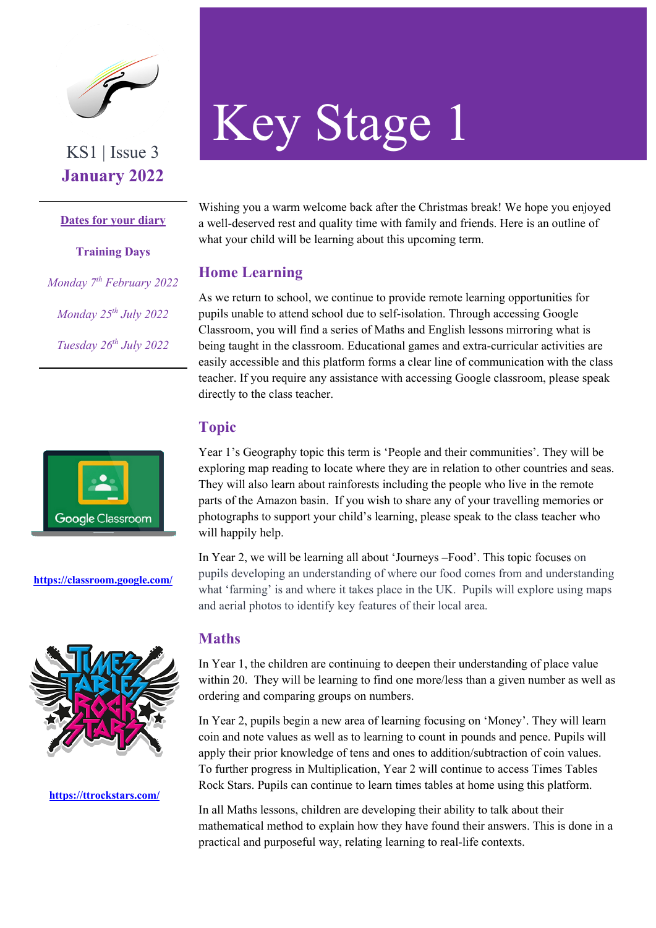

**January 2022**

**Dates for your diary**

**Training Days** *Monday 7th February 2022 Monday 25th July 2022 Tuesday 26th July 2022*



**https://classroom.google.com/**



**https://ttrockstars.com/** 

# Key Stage 1

Wishing you a warm welcome back after the Christmas break! We hope you enjoyed a well-deserved rest and quality time with family and friends. Here is an outline of what your child will be learning about this upcoming term.

## **Home Learning**

As we return to school, we continue to provide remote learning opportunities for pupils unable to attend school due to self-isolation. Through accessing Google Classroom, you will find a series of Maths and English lessons mirroring what is being taught in the classroom. Educational games and extra-curricular activities are easily accessible and this platform forms a clear line of communication with the class teacher. If you require any assistance with accessing Google classroom, please speak directly to the class teacher.

# **Topic**

Year 1's Geography topic this term is 'People and their communities'. They will be exploring map reading to locate where they are in relation to other countries and seas. They will also learn about rainforests including the people who live in the remote parts of the Amazon basin. If you wish to share any of your travelling memories or photographs to support your child's learning, please speak to the class teacher who will happily help.

In Year 2, we will be learning all about 'Journeys –Food'. This topic focuses on pupils developing an understanding of where our food comes from and understanding what 'farming' is and where it takes place in the UK. Pupils will explore using maps and aerial photos to identify key features of their local area.

## **Maths**

In Year 1, the children are continuing to deepen their understanding of place value within 20. They will be learning to find one more/less than a given number as well as ordering and comparing groups on numbers.

In Year 2, pupils begin a new area of learning focusing on 'Money'. They will learn coin and note values as well as to learning to count in pounds and pence. Pupils will apply their prior knowledge of tens and ones to addition/subtraction of coin values. To further progress in Multiplication, Year 2 will continue to access Times Tables Rock Stars. Pupils can continue to learn times tables at home using this platform.

In all Maths lessons, children are developing their ability to talk about their mathematical method to explain how they have found their answers. This is done in a practical and purposeful way, relating learning to real-life contexts.